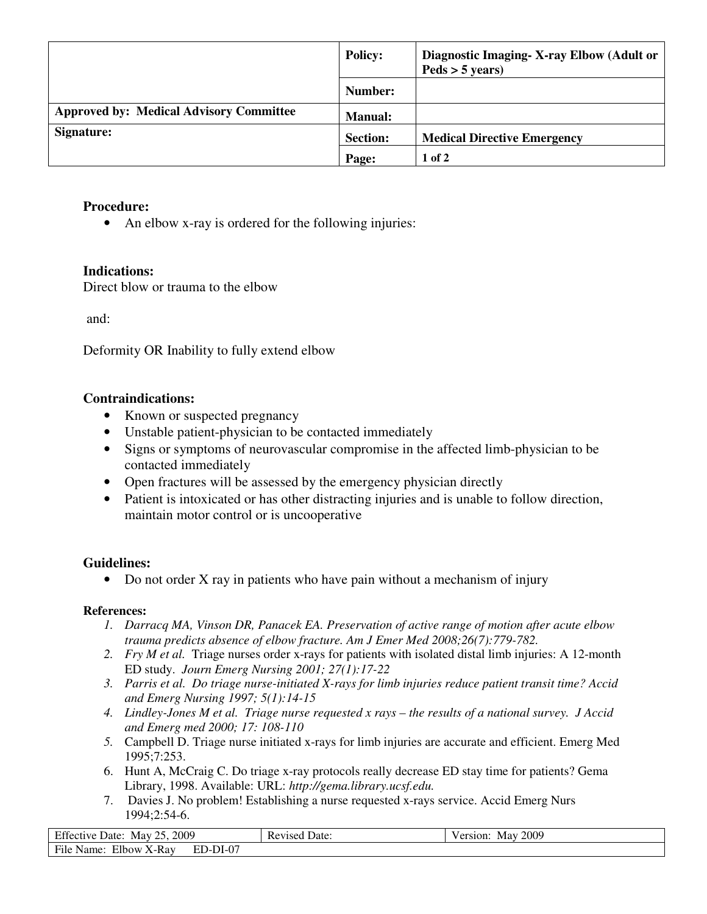|                                                | <b>Policy:</b>  | Diagnostic Imaging-X-ray Elbow (Adult or<br>$Peds > 5 \text{ years}$ |
|------------------------------------------------|-----------------|----------------------------------------------------------------------|
|                                                | Number:         |                                                                      |
| <b>Approved by: Medical Advisory Committee</b> | <b>Manual:</b>  |                                                                      |
| Signature:                                     | <b>Section:</b> | <b>Medical Directive Emergency</b>                                   |
|                                                | Page:           | $1$ of $2$                                                           |

# **Procedure:**

• An elbow x-ray is ordered for the following injuries:

# **Indications:**

Direct blow or trauma to the elbow

and:

Deformity OR Inability to fully extend elbow

### **Contraindications:**

- Known or suspected pregnancy
- Unstable patient-physician to be contacted immediately
- Signs or symptoms of neurovascular compromise in the affected limb-physician to be contacted immediately
- Open fractures will be assessed by the emergency physician directly
- Patient is intoxicated or has other distracting injuries and is unable to follow direction, maintain motor control or is uncooperative

# **Guidelines:**

• Do not order X ray in patients who have pain without a mechanism of injury

### **References:**

- *1. Darracq MA, Vinson DR, Panacek EA. Preservation of active range of motion after acute elbow trauma predicts absence of elbow fracture. Am J Emer Med 2008;26(7):779-782.*
- *2. Fry M et al.* Triage nurses order x-rays for patients with isolated distal limb injuries: A 12-month ED study. *Journ Emerg Nursing 2001; 27(1):17-22*
- *3. Parris et al. Do triage nurse-initiated X-rays for limb injuries reduce patient transit time? Accid and Emerg Nursing 1997; 5(1):14-15*
- *4. Lindley-Jones M et al. Triage nurse requested x rays the results of a national survey. J Accid and Emerg med 2000; 17: 108-110*
- *5.* Campbell D. Triage nurse initiated x-rays for limb injuries are accurate and efficient. Emerg Med 1995;7:253.
- 6. Hunt A, McCraig C. Do triage x-ray protocols really decrease ED stay time for patients? Gema Library, 1998. Available: URL: *http://gema.library.ucsf.edu.*
- 7. Davies J. No problem! Establishing a nurse requested x-rays service. Accid Emerg Nurs 1994;2:54-6.

| Effective Date:<br>May 25, 2009         | <b>Revised Date:</b> | May 2009<br>Version: |
|-----------------------------------------|----------------------|----------------------|
| File Name:<br>Elbow X-Ray<br>$ED-DI-07$ |                      |                      |